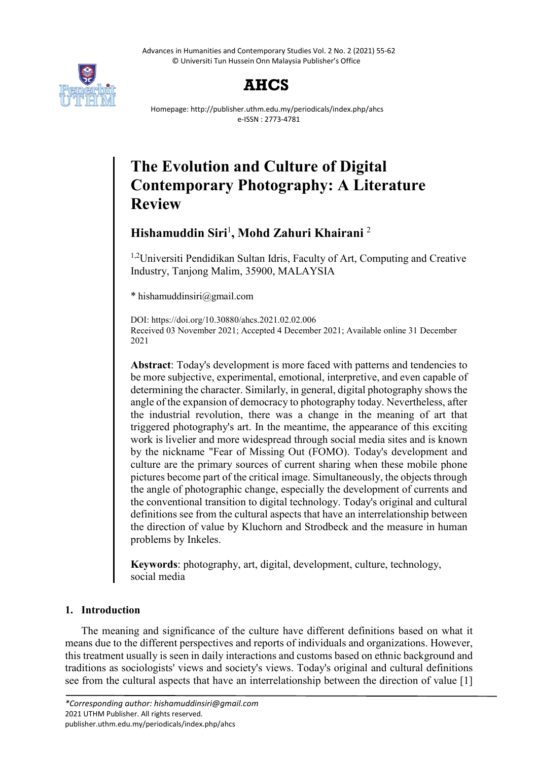Advances in Humanities and Contemporary Studies Vol. 2 No. 2 (2021) 55-62 © Universiti Tun Hussein Onn Malaysia Publisher's Office





Homepage: http://publisher.uthm.edu.my/periodicals/index.php/ahcs e-ISSN : 2773-4781

# **The Evolution and Culture of Digital Contemporary Photography: A Literature Review**

## **Hishamuddin Siri**<sup>1</sup> **, Mohd Zahuri Khairani** <sup>2</sup>

<sup>1,2</sup>Universiti Pendidikan Sultan Idris, Faculty of Art, Computing and Creative Industry, Tanjong Malim, 35900, MALAYSIA

\* hishamuddinsiri@gmail.com

DOI: https://doi.org/10.30880/ahcs.2021.02.02.006 Received 03 November 2021; Accepted 4 December 2021; Available online 31 December 2021

**Abstract**: Today's development is more faced with patterns and tendencies to be more subjective, experimental, emotional, interpretive, and even capable of determining the character. Similarly, in general, digital photography shows the angle of the expansion of democracy to photography today. Nevertheless, after the industrial revolution, there was a change in the meaning of art that triggered photography's art. In the meantime, the appearance of this exciting work is livelier and more widespread through social media sites and is known by the nickname "Fear of Missing Out (FOMO). Today's development and culture are the primary sources of current sharing when these mobile phone pictures become part of the critical image. Simultaneously, the objects through the angle of photographic change, especially the development of currents and the conventional transition to digital technology. Today's original and cultural definitions see from the cultural aspects that have an interrelationship between the direction of value by Kluchorn and Strodbeck and the measure in human problems by Inkeles.

**Keywords**: photography, art, digital, development, culture, technology, social media

### **1. Introduction**

The meaning and significance of the culture have different definitions based on what it means due to the different perspectives and reports of individuals and organizations. However, this treatment usually is seen in daily interactions and customs based on ethnic background and traditions as sociologists' views and society's views. Today's original and cultural definitions see from the cultural aspects that have an interrelationship between the direction of value [1]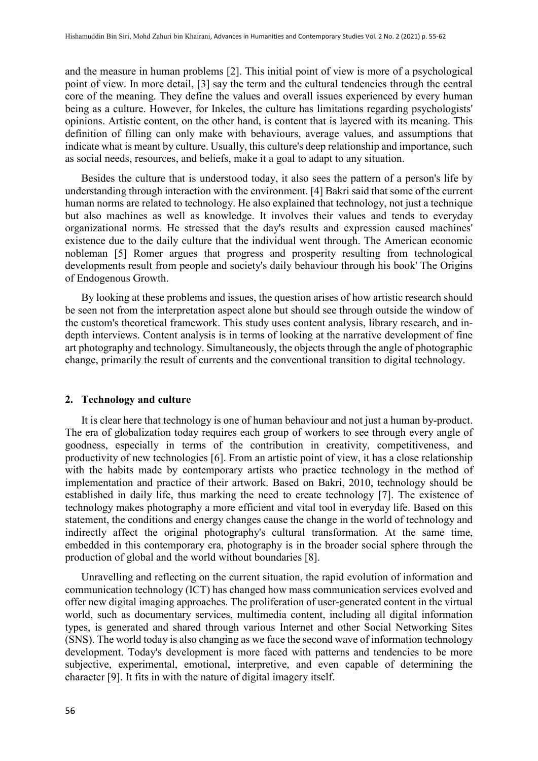and the measure in human problems [2]. This initial point of view is more of a psychological point of view. In more detail, [3] say the term and the cultural tendencies through the central core of the meaning. They define the values and overall issues experienced by every human being as a culture. However, for Inkeles, the culture has limitations regarding psychologists' opinions. Artistic content, on the other hand, is content that is layered with its meaning. This definition of filling can only make with behaviours, average values, and assumptions that indicate what is meant by culture. Usually, this culture's deep relationship and importance, such as social needs, resources, and beliefs, make it a goal to adapt to any situation.

Besides the culture that is understood today, it also sees the pattern of a person's life by understanding through interaction with the environment. [4] Bakri said that some of the current human norms are related to technology. He also explained that technology, not just a technique but also machines as well as knowledge. It involves their values and tends to everyday organizational norms. He stressed that the day's results and expression caused machines' existence due to the daily culture that the individual went through. The American economic nobleman [5] Romer argues that progress and prosperity resulting from technological developments result from people and society's daily behaviour through his book' The Origins of Endogenous Growth.

By looking at these problems and issues, the question arises of how artistic research should be seen not from the interpretation aspect alone but should see through outside the window of the custom's theoretical framework. This study uses content analysis, library research, and indepth interviews. Content analysis is in terms of looking at the narrative development of fine art photography and technology. Simultaneously, the objects through the angle of photographic change, primarily the result of currents and the conventional transition to digital technology.

#### **2. Technology and culture**

It is clear here that technology is one of human behaviour and not just a human by-product. The era of globalization today requires each group of workers to see through every angle of goodness, especially in terms of the contribution in creativity, competitiveness, and productivity of new technologies [6]. From an artistic point of view, it has a close relationship with the habits made by contemporary artists who practice technology in the method of implementation and practice of their artwork. Based on Bakri, 2010, technology should be established in daily life, thus marking the need to create technology [7]. The existence of technology makes photography a more efficient and vital tool in everyday life. Based on this statement, the conditions and energy changes cause the change in the world of technology and indirectly affect the original photography's cultural transformation. At the same time, embedded in this contemporary era, photography is in the broader social sphere through the production of global and the world without boundaries [8].

Unravelling and reflecting on the current situation, the rapid evolution of information and communication technology (ICT) has changed how mass communication services evolved and offer new digital imaging approaches. The proliferation of user-generated content in the virtual world, such as documentary services, multimedia content, including all digital information types, is generated and shared through various Internet and other Social Networking Sites (SNS). The world today is also changing as we face the second wave of information technology development. Today's development is more faced with patterns and tendencies to be more subjective, experimental, emotional, interpretive, and even capable of determining the character [9]. It fits in with the nature of digital imagery itself.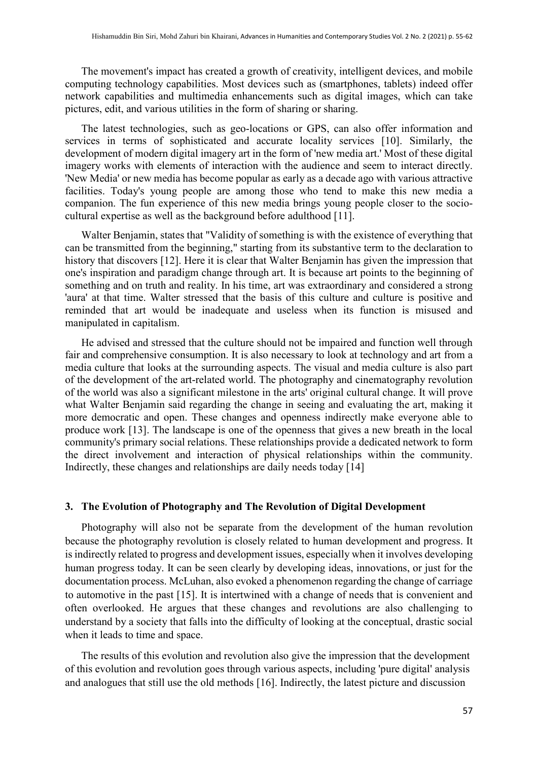The movement's impact has created a growth of creativity, intelligent devices, and mobile computing technology capabilities. Most devices such as (smartphones, tablets) indeed offer network capabilities and multimedia enhancements such as digital images, which can take pictures, edit, and various utilities in the form of sharing or sharing.

The latest technologies, such as geo-locations or GPS, can also offer information and services in terms of sophisticated and accurate locality services [10]. Similarly, the development of modern digital imagery art in the form of 'new media art.' Most of these digital imagery works with elements of interaction with the audience and seem to interact directly. 'New Media' or new media has become popular as early as a decade ago with various attractive facilities. Today's young people are among those who tend to make this new media a companion. The fun experience of this new media brings young people closer to the sociocultural expertise as well as the background before adulthood [11].

Walter Benjamin, states that "Validity of something is with the existence of everything that can be transmitted from the beginning," starting from its substantive term to the declaration to history that discovers [12]. Here it is clear that Walter Benjamin has given the impression that one's inspiration and paradigm change through art. It is because art points to the beginning of something and on truth and reality. In his time, art was extraordinary and considered a strong 'aura' at that time. Walter stressed that the basis of this culture and culture is positive and reminded that art would be inadequate and useless when its function is misused and manipulated in capitalism.

He advised and stressed that the culture should not be impaired and function well through fair and comprehensive consumption. It is also necessary to look at technology and art from a media culture that looks at the surrounding aspects. The visual and media culture is also part of the development of the art-related world. The photography and cinematography revolution of the world was also a significant milestone in the arts' original cultural change. It will prove what Walter Benjamin said regarding the change in seeing and evaluating the art, making it more democratic and open. These changes and openness indirectly make everyone able to produce work [13]. The landscape is one of the openness that gives a new breath in the local community's primary social relations. These relationships provide a dedicated network to form the direct involvement and interaction of physical relationships within the community. Indirectly, these changes and relationships are daily needs today [14]

#### **3. The Evolution of Photography and The Revolution of Digital Development**

Photography will also not be separate from the development of the human revolution because the photography revolution is closely related to human development and progress. It is indirectly related to progress and development issues, especially when it involves developing human progress today. It can be seen clearly by developing ideas, innovations, or just for the documentation process. McLuhan, also evoked a phenomenon regarding the change of carriage to automotive in the past [15]. It is intertwined with a change of needs that is convenient and often overlooked. He argues that these changes and revolutions are also challenging to understand by a society that falls into the difficulty of looking at the conceptual, drastic social when it leads to time and space.

The results of this evolution and revolution also give the impression that the development of this evolution and revolution goes through various aspects, including 'pure digital' analysis and analogues that still use the old methods [16]. Indirectly, the latest picture and discussion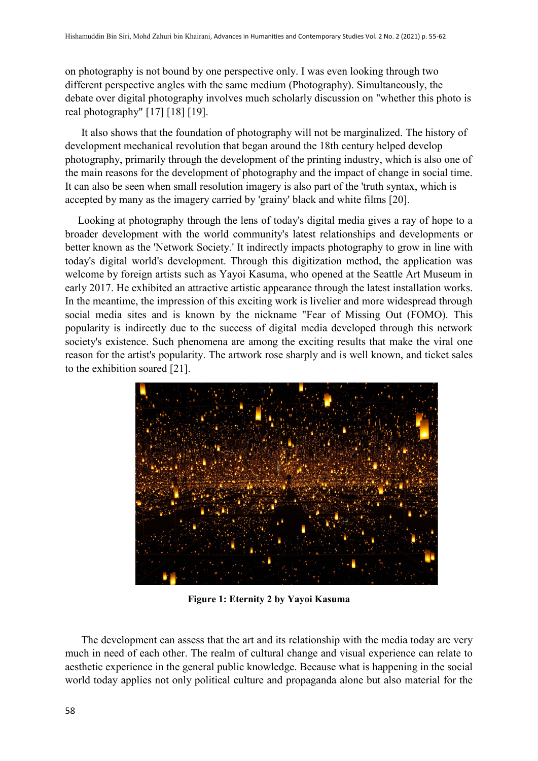on photography is not bound by one perspective only. I was even looking through two different perspective angles with the same medium (Photography). Simultaneously, the debate over digital photography involves much scholarly discussion on "whether this photo is real photography" [17] [18] [19].

It also shows that the foundation of photography will not be marginalized. The history of development mechanical revolution that began around the 18th century helped develop photography, primarily through the development of the printing industry, which is also one of the main reasons for the development of photography and the impact of change in social time. It can also be seen when small resolution imagery is also part of the 'truth syntax, which is accepted by many as the imagery carried by 'grainy' black and white films [20].

Looking at photography through the lens of today's digital media gives a ray of hope to a broader development with the world community's latest relationships and developments or better known as the 'Network Society.' It indirectly impacts photography to grow in line with today's digital world's development. Through this digitization method, the application was welcome by foreign artists such as Yayoi Kasuma, who opened at the Seattle Art Museum in early 2017. He exhibited an attractive artistic appearance through the latest installation works. In the meantime, the impression of this exciting work is livelier and more widespread through social media sites and is known by the nickname "Fear of Missing Out (FOMO). This popularity is indirectly due to the success of digital media developed through this network society's existence. Such phenomena are among the exciting results that make the viral one reason for the artist's popularity. The artwork rose sharply and is well known, and ticket sales to the exhibition soared [21].



**Figure 1: Eternity 2 by Yayoi Kasuma**

The development can assess that the art and its relationship with the media today are very much in need of each other. The realm of cultural change and visual experience can relate to aesthetic experience in the general public knowledge. Because what is happening in the social world today applies not only political culture and propaganda alone but also material for the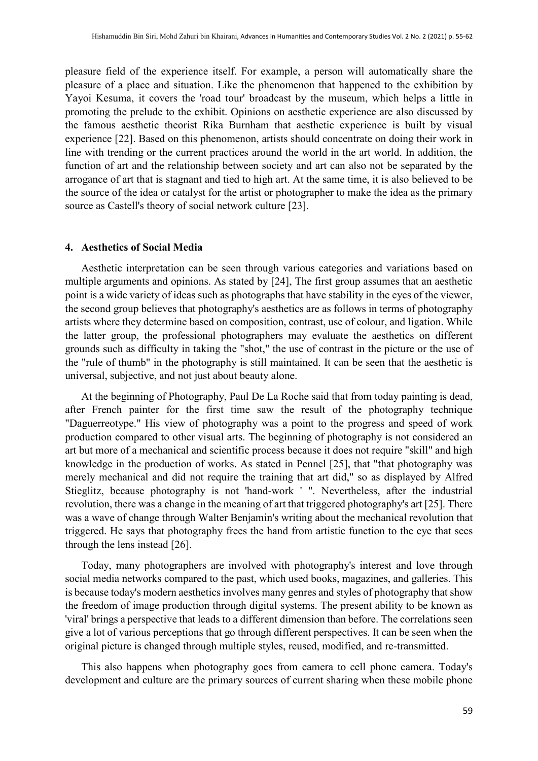pleasure field of the experience itself. For example, a person will automatically share the pleasure of a place and situation. Like the phenomenon that happened to the exhibition by Yayoi Kesuma, it covers the 'road tour' broadcast by the museum, which helps a little in promoting the prelude to the exhibit. Opinions on aesthetic experience are also discussed by the famous aesthetic theorist Rika Burnham that aesthetic experience is built by visual experience [22]. Based on this phenomenon, artists should concentrate on doing their work in line with trending or the current practices around the world in the art world. In addition, the function of art and the relationship between society and art can also not be separated by the arrogance of art that is stagnant and tied to high art. At the same time, it is also believed to be the source of the idea or catalyst for the artist or photographer to make the idea as the primary source as Castell's theory of social network culture [23].

#### **4. Aesthetics of Social Media**

Aesthetic interpretation can be seen through various categories and variations based on multiple arguments and opinions. As stated by [24], The first group assumes that an aesthetic point is a wide variety of ideas such as photographs that have stability in the eyes of the viewer, the second group believes that photography's aesthetics are as follows in terms of photography artists where they determine based on composition, contrast, use of colour, and ligation. While the latter group, the professional photographers may evaluate the aesthetics on different grounds such as difficulty in taking the "shot," the use of contrast in the picture or the use of the "rule of thumb" in the photography is still maintained. It can be seen that the aesthetic is universal, subjective, and not just about beauty alone.

At the beginning of Photography, Paul De La Roche said that from today painting is dead, after French painter for the first time saw the result of the photography technique "Daguerreotype." His view of photography was a point to the progress and speed of work production compared to other visual arts. The beginning of photography is not considered an art but more of a mechanical and scientific process because it does not require "skill" and high knowledge in the production of works. As stated in Pennel [25], that "that photography was merely mechanical and did not require the training that art did," so as displayed by Alfred Stieglitz, because photography is not 'hand-work ' ". Nevertheless, after the industrial revolution, there was a change in the meaning of art that triggered photography's art [25]. There was a wave of change through Walter Benjamin's writing about the mechanical revolution that triggered. He says that photography frees the hand from artistic function to the eye that sees through the lens instead [26].

Today, many photographers are involved with photography's interest and love through social media networks compared to the past, which used books, magazines, and galleries. This is because today's modern aesthetics involves many genres and styles of photography that show the freedom of image production through digital systems. The present ability to be known as 'viral' brings a perspective that leads to a different dimension than before. The correlations seen give a lot of various perceptions that go through different perspectives. It can be seen when the original picture is changed through multiple styles, reused, modified, and re-transmitted.

This also happens when photography goes from camera to cell phone camera. Today's development and culture are the primary sources of current sharing when these mobile phone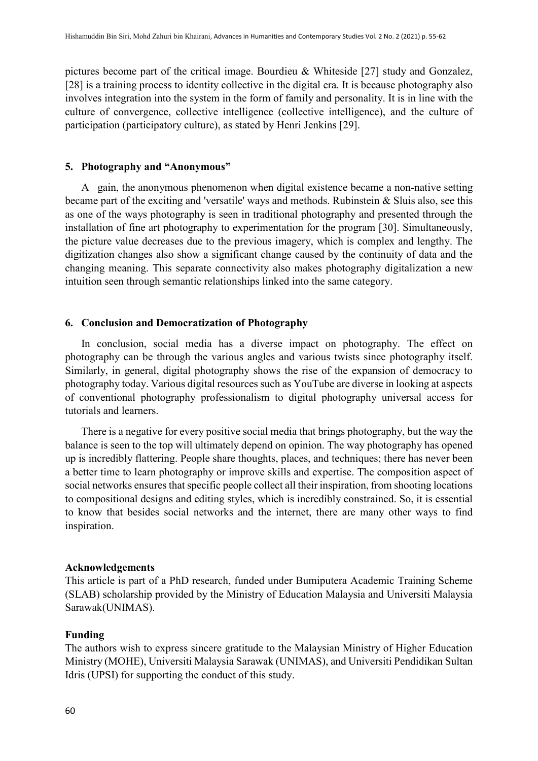pictures become part of the critical image. Bourdieu & Whiteside [27] study and Gonzalez, [28] is a training process to identity collective in the digital era. It is because photography also involves integration into the system in the form of family and personality. It is in line with the culture of convergence, collective intelligence (collective intelligence), and the culture of participation (participatory culture), as stated by Henri Jenkins [29].

#### **5. Photography and "Anonymous"**

A gain, the anonymous phenomenon when digital existence became a non-native setting became part of the exciting and 'versatile' ways and methods. Rubinstein & Sluis also, see this as one of the ways photography is seen in traditional photography and presented through the installation of fine art photography to experimentation for the program [30]. Simultaneously, the picture value decreases due to the previous imagery, which is complex and lengthy. The digitization changes also show a significant change caused by the continuity of data and the changing meaning. This separate connectivity also makes photography digitalization a new intuition seen through semantic relationships linked into the same category.

#### **6. Conclusion and Democratization of Photography**

In conclusion, social media has a diverse impact on photography. The effect on photography can be through the various angles and various twists since photography itself. Similarly, in general, digital photography shows the rise of the expansion of democracy to photography today. Various digital resources such as YouTube are diverse in looking at aspects of conventional photography professionalism to digital photography universal access for tutorials and learners.

There is a negative for every positive social media that brings photography, but the way the balance is seen to the top will ultimately depend on opinion. The way photography has opened up is incredibly flattering. People share thoughts, places, and techniques; there has never been a better time to learn photography or improve skills and expertise. The composition aspect of social networks ensures that specific people collect all their inspiration, from shooting locations to compositional designs and editing styles, which is incredibly constrained. So, it is essential to know that besides social networks and the internet, there are many other ways to find inspiration.

#### **Acknowledgements**

This article is part of a PhD research, funded under Bumiputera Academic Training Scheme (SLAB) scholarship provided by the Ministry of Education Malaysia and Universiti Malaysia Sarawak(UNIMAS).

#### **Funding**

The authors wish to express sincere gratitude to the Malaysian Ministry of Higher Education Ministry (MOHE), Universiti Malaysia Sarawak (UNIMAS), and Universiti Pendidikan Sultan Idris (UPSI) for supporting the conduct of this study.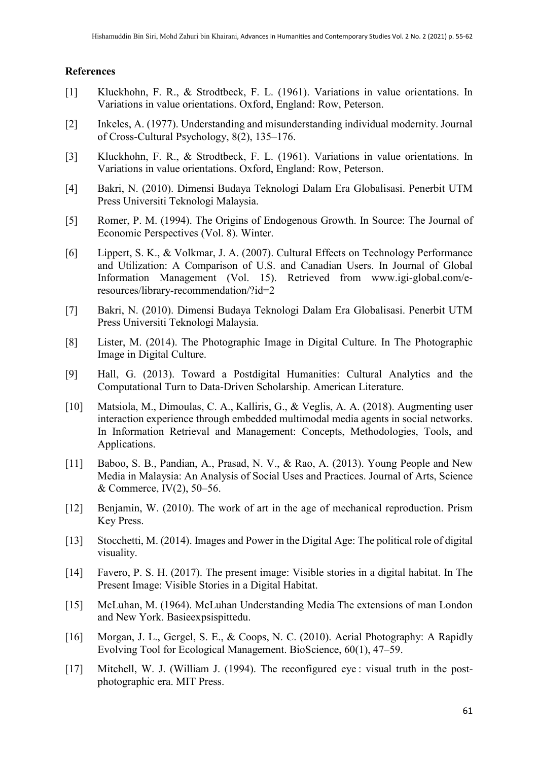#### **References**

- [1] Kluckhohn, F. R., & Strodtbeck, F. L. (1961). Variations in value orientations. In Variations in value orientations. Oxford, England: Row, Peterson.
- [2] Inkeles, A. (1977). Understanding and misunderstanding individual modernity. Journal of Cross-Cultural Psychology, 8(2), 135–176.
- [3] Kluckhohn, F. R., & Strodtbeck, F. L. (1961). Variations in value orientations. In Variations in value orientations. Oxford, England: Row, Peterson.
- [4] Bakri, N. (2010). Dimensi Budaya Teknologi Dalam Era Globalisasi. Penerbit UTM Press Universiti Teknologi Malaysia.
- [5] Romer, P. M. (1994). The Origins of Endogenous Growth. In Source: The Journal of Economic Perspectives (Vol. 8). Winter.
- [6] Lippert, S. K., & Volkmar, J. A. (2007). Cultural Effects on Technology Performance and Utilization: A Comparison of U.S. and Canadian Users. In Journal of Global Information Management (Vol. 15). Retrieved from www.igi-global.com/eresources/library-recommendation/?id=2
- [7] Bakri, N. (2010). Dimensi Budaya Teknologi Dalam Era Globalisasi. Penerbit UTM Press Universiti Teknologi Malaysia.
- [8] Lister, M. (2014). The Photographic Image in Digital Culture. In The Photographic Image in Digital Culture.
- [9] Hall, G. (2013). Toward a Postdigital Humanities: Cultural Analytics and the Computational Turn to Data-Driven Scholarship. American Literature.
- [10] Matsiola, M., Dimoulas, C. A., Kalliris, G., & Veglis, A. A. (2018). Augmenting user interaction experience through embedded multimodal media agents in social networks. In Information Retrieval and Management: Concepts, Methodologies, Tools, and Applications.
- [11] Baboo, S. B., Pandian, A., Prasad, N. V., & Rao, A. (2013). Young People and New Media in Malaysia: An Analysis of Social Uses and Practices. Journal of Arts, Science & Commerce, IV(2), 50–56.
- [12] Benjamin, W. (2010). The work of art in the age of mechanical reproduction. Prism Key Press.
- [13] Stocchetti, M. (2014). Images and Power in the Digital Age: The political role of digital visuality.
- [14] Favero, P. S. H. (2017). The present image: Visible stories in a digital habitat. In The Present Image: Visible Stories in a Digital Habitat.
- [15] McLuhan, M. (1964). McLuhan Understanding Media The extensions of man London and New York. Basieexpsispittedu.
- [16] Morgan, J. L., Gergel, S. E., & Coops, N. C. (2010). Aerial Photography: A Rapidly Evolving Tool for Ecological Management. BioScience, 60(1), 47–59.
- [17] Mitchell, W. J. (William J. (1994). The reconfigured eye : visual truth in the postphotographic era. MIT Press.